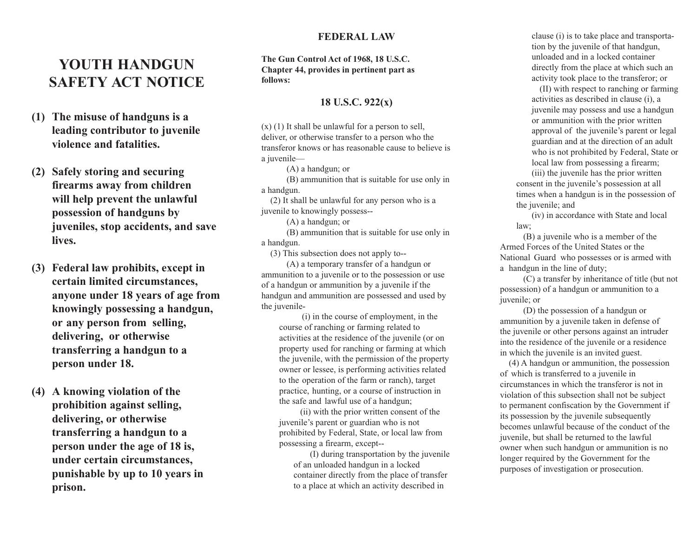# **YOUTH HANDGUN SAFETY ACT NOTICE**

- **(1) The misuse of handguns is a leading contributor to juvenile violence and fatalities.**
- **(2) Safely storing and securing firearms away from children will help prevent the unlawful possession of handguns by juveniles, stop accidents, and save lives.**
- **(3) Federal law prohibits, except in certain limited circumstances, anyone under 18 years of age from knowingly possessing a handgun, or any person from selling, delivering, or otherwise transferring a handgun to a person under 18.**
- **(4) A knowing violation of the prohibition against selling, delivering, or otherwise transferring a handgun to a person under the age of 18 is, under certain circumstances, punishable by up to 10 years in prison.**

# **FEDERAL LAW**

**The Gun Control Act of 1968, 18 U.S.C. Chapter 44, provides in pertinent part as follows:**

# **18 U.S.C. 922(x)**

(x) (1) It shall be unlawful for a person to sell, deliver, or otherwise transfer to a person who the transferor knows or has reasonable cause to believe is a juvenile—

(A) a handgun; or

(B) ammunition that is suitable for use only in a handgun.

(2) It shall be unlawful for any person who is a juvenile to knowingly possess--

(A) a handgun; or

(B) ammunition that is suitable for use only in a handgun.

(3) This subsection does not apply to--

(A) a temporary transfer of a handgun or ammunition to a juvenile or to the possession or use of a handgun or ammunition by a juvenile if the handgun and ammunition are possessed and used by the juvenile-

(i) in the course of employment, in the course of ranching or farming related to activities at the residence of the juvenile (or on property used for ranching or farming at which the juvenile, with the permission of the property owner or lessee, is performing activities related to the operation of the farm or ranch), target practice, hunting, or a course of instruction in the safe and lawful use of a handgun;

 (ii) with the prior written consent of the juvenile's parent or guardian who is not prohibited by Federal, State, or local law from possessing a firearm, except--

(I) during transportation by the juvenile of an unloaded handgun in a locked container directly from the place of transfer to a place at which an activity described in

clause (i) is to take place and transportation by the juvenile of that handgun, unloaded and in a locked container directly from the place at which such an activity took place to the transferor; or

(II) with respect to ranching or farming activities as described in clause (i), a juvenile may possess and use a handgun or ammunition with the prior written approval of the juvenile's parent or legal guardian and at the direction of an adult who is not prohibited by Federal, State or local law from possessing a firearm;

(iii) the juvenile has the prior written consent in the juvenile's possession at all times when a handgun is in the possession of the juvenile; and

(iv) in accordance with State and local law;

(B) a juvenile who is a member of the Armed Forces of the United States or the National Guard who possesses or is armed with <sup>a</sup> handgun in the line of duty;

(C) a transfer by inheritance of title (but not possession) of a handgun or ammunition to a juvenile; or

(D) the possession of a handgun or ammunition by a juvenile taken in defense of the juvenile or other persons against an intruder into the residence of the juvenile or a residence in which the juvenile is an invited guest.

(4) A handgun or ammunition, the possession of which is transferred to a juvenile in circumstances in which the transferor is not in violation of this subsection shall not be subject to permanent confiscation by the Government if its possession by the juvenile subsequently becomes unlawful because of the conduct of the juvenile, but shall be returned to the lawful owner when such handgun or ammunition is no longer required by the Government for the purposes of investigation or prosecution.